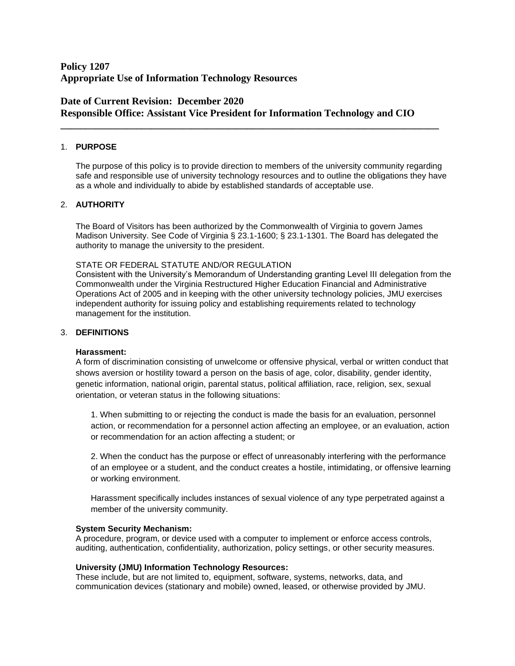# **Policy 1207 Appropriate Use of Information Technology Resources**

# **Date of Current Revision: December 2020 Responsible Office: Assistant Vice President for Information Technology and CIO**

**\_\_\_\_\_\_\_\_\_\_\_\_\_\_\_\_\_\_\_\_\_\_\_\_\_\_\_\_\_\_\_\_\_\_\_\_\_\_\_\_\_\_\_\_\_\_\_\_\_\_\_\_\_\_\_\_\_\_\_\_\_\_\_\_\_\_\_\_\_\_\_\_\_\_\_**

## 1. **PURPOSE**

The purpose of this policy is to provide direction to members of the university community regarding safe and responsible use of university technology resources and to outline the obligations they have as a whole and individually to abide by established standards of acceptable use.

## 2. **AUTHORITY**

The Board of Visitors has been authorized by the Commonwealth of Virginia to govern James Madison University. See Code of Virginia § 23.1-1600; § 23.1-1301. The Board has delegated the authority to manage the university to the president.

### STATE OR FEDERAL STATUTE AND/OR REGULATION

Consistent with the University's Memorandum of Understanding granting Level III delegation from the Commonwealth under the Virginia Restructured Higher Education Financial and Administrative Operations Act of 2005 and in keeping with the other university technology policies, JMU exercises independent authority for issuing policy and establishing requirements related to technology management for the institution.

## 3. **DEFINITIONS**

### **Harassment:**

A form of discrimination consisting of unwelcome or offensive physical, verbal or written conduct that shows aversion or hostility toward a person on the basis of age, color, disability, gender identity, genetic information, national origin, parental status, political affiliation, race, religion, sex, sexual orientation, or veteran status in the following situations:

1. When submitting to or rejecting the conduct is made the basis for an evaluation, personnel action, or recommendation for a personnel action affecting an employee, or an evaluation, action or recommendation for an action affecting a student; or

2. When the conduct has the purpose or effect of unreasonably interfering with the performance of an employee or a student, and the conduct creates a hostile, intimidating, or offensive learning or working environment.

Harassment specifically includes instances of sexual violence of any type perpetrated against a member of the university community.

### **System Security Mechanism:**

A procedure, program, or device used with a computer to implement or enforce access controls, auditing, authentication, confidentiality, authorization, policy settings, or other security measures.

### **University (JMU) Information Technology Resources:**

These include, but are not limited to, equipment, software, systems, networks, data, and communication devices (stationary and mobile) owned, leased, or otherwise provided by JMU.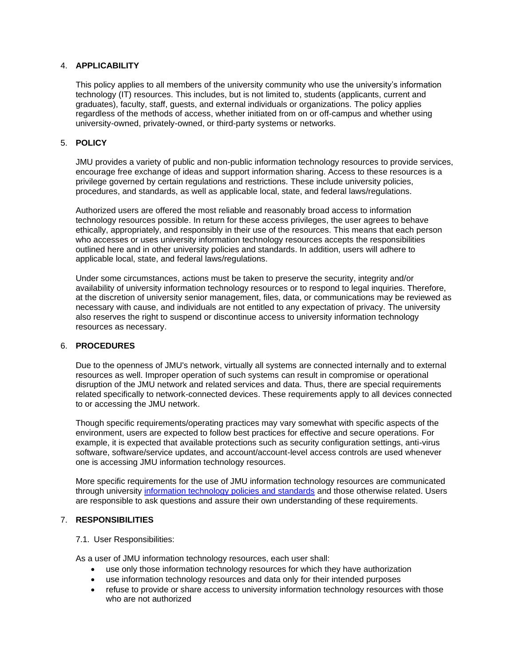## 4. **APPLICABILITY**

This policy applies to all members of the university community who use the university's information technology (IT) resources. This includes, but is not limited to, students (applicants, current and graduates), faculty, staff, guests, and external individuals or organizations. The policy applies regardless of the methods of access, whether initiated from on or off-campus and whether using university-owned, privately-owned, or third-party systems or networks.

### 5. **POLICY**

JMU provides a variety of public and non-public information technology resources to provide services, encourage free exchange of ideas and support information sharing. Access to these resources is a privilege governed by certain regulations and restrictions. These include university policies, procedures, and standards, as well as applicable local, state, and federal laws/regulations.

Authorized users are offered the most reliable and reasonably broad access to information technology resources possible. In return for these access privileges, the user agrees to behave ethically, appropriately, and responsibly in their use of the resources. This means that each person who accesses or uses university information technology resources accepts the responsibilities outlined here and in other university policies and standards. In addition, users will adhere to applicable local, state, and federal laws/regulations.

Under some circumstances, actions must be taken to preserve the security, integrity and/or availability of university information technology resources or to respond to legal inquiries. Therefore, at the discretion of university senior management, files, data, or communications may be reviewed as necessary with cause, and individuals are not entitled to any expectation of privacy. The university also reserves the right to suspend or discontinue access to university information technology resources as necessary.

### 6. **PROCEDURES**

Due to the openness of JMU's network, virtually all systems are connected internally and to external resources as well. Improper operation of such systems can result in compromise or operational disruption of the JMU network and related services and data. Thus, there are special requirements related specifically to network-connected devices. These requirements apply to all devices connected to or accessing the JMU network.

Though specific requirements/operating practices may vary somewhat with specific aspects of the environment, users are expected to follow best practices for effective and secure operations. For example, it is expected that available protections such as security configuration settings, anti-virus software, software/service updates, and account/account-level access controls are used whenever one is accessing JMU information technology resources.

More specific requirements for the use of JMU information technology resources are communicated through university [information technology policies and standards](http://www.jmu.edu/computing/policies-and-standards.shtml) and those otherwise related. Users are responsible to ask questions and assure their own understanding of these requirements.

## 7. **RESPONSIBILITIES**

### 7.1. User Responsibilities:

As a user of JMU information technology resources, each user shall:

- use only those information technology resources for which they have authorization
- use information technology resources and data only for their intended purposes
- refuse to provide or share access to university information technology resources with those who are not authorized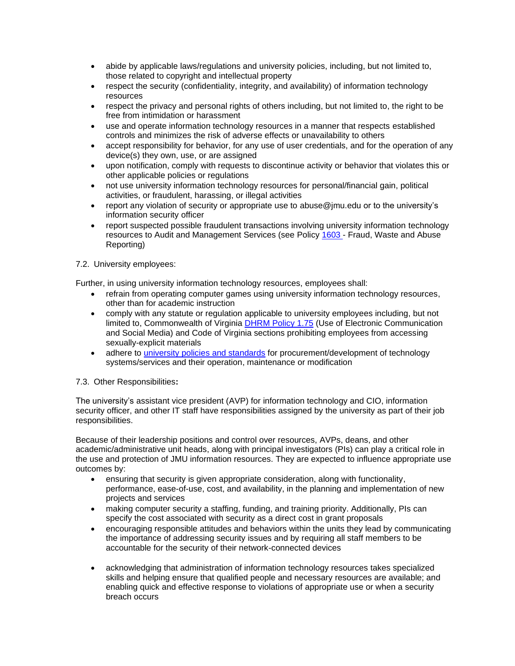- abide by applicable laws/regulations and university policies, including, but not limited to, those related to copyright and intellectual property
- respect the security (confidentiality, integrity, and availability) of information technology resources
- respect the privacy and personal rights of others including, but not limited to, the right to be free from intimidation or harassment
- use and operate information technology resources in a manner that respects established controls and minimizes the risk of adverse effects or unavailability to others
- accept responsibility for behavior, for any use of user credentials, and for the operation of any device(s) they own, use, or are assigned
- upon notification, comply with requests to discontinue activity or behavior that violates this or other applicable policies or regulations
- not use university information technology resources for personal/financial gain, political activities, or fraudulent, harassing, or illegal activities
- report any violation of security or appropriate use to [abuse@jmu.edu](mailto:abuse@jmu.edu) or to the university's information security officer
- report suspected possible fraudulent transactions involving university information technology resources to Audit and Management Services (see Policy [1603](http://www.jmu.edu/JMUpolicy/policies/1603.shtml) - Fraud, Waste and Abuse Reporting)
- 7.2. University employees:

Further, in using university information technology resources, employees shall:

- refrain from operating computer games using university information technology resources, other than for academic instruction
- comply with any statute or regulation applicable to university employees including, but not limited to, Commonwealth of Virginia [DHRM Policy 1.75](http://www.dhrm.virginia.gov/docs/default-source/hrpolicy/1-75-use-of-electronic-communications-and-social-media-update.pdf?sfvrsn=0) (Use of Electronic Communication and Social Media) and Code of Virginia sections prohibiting employees from accessing sexually-explicit materials
- adhere to [university policies](http://www.jmu.edu/computing/policies-and-standards.shtml) and standards for procurement/development of technology systems/services and their operation, maintenance or modification
- 7.3. Other Responsibilities**:**

The university's assistant vice president (AVP) for information technology and CIO, information security officer, and other IT staff have responsibilities assigned by the university as part of their job responsibilities.

Because of their leadership positions and control over resources, AVPs, deans, and other academic/administrative unit heads, along with principal investigators (PIs) can play a critical role in the use and protection of JMU information resources. They are expected to influence appropriate use outcomes by:

- ensuring that security is given appropriate consideration, along with functionality, performance, ease-of-use, cost, and availability, in the planning and implementation of new projects and services
- making computer security a staffing, funding, and training priority. Additionally, PIs can specify the cost associated with security as a direct cost in grant proposals
- encouraging responsible attitudes and behaviors within the units they lead by communicating the importance of addressing security issues and by requiring all staff members to be accountable for the security of their network-connected devices
- acknowledging that administration of information technology resources takes specialized skills and helping ensure that qualified people and necessary resources are available; and enabling quick and effective response to violations of appropriate use or when a security breach occurs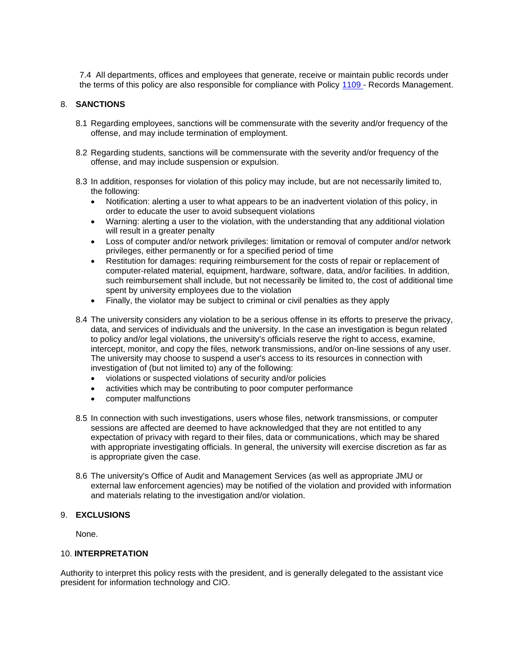7.4 All departments, offices and employees that generate, receive or maintain public records under the terms of this policy are also responsible for compliance with Policy [1109](http://www.jmu.edu/JMUpolicy/policies/1109.shtml) - Records Management.

### 8. **SANCTIONS**

- 8.1 Regarding employees, sanctions will be commensurate with the severity and/or frequency of the offense, and may include termination of employment.
- 8.2 Regarding students, sanctions will be commensurate with the severity and/or frequency of the offense, and may include suspension or expulsion.
- 8.3 In addition, responses for violation of this policy may include, but are not necessarily limited to, the following:
	- Notification: alerting a user to what appears to be an inadvertent violation of this policy, in order to educate the user to avoid subsequent violations
	- Warning: alerting a user to the violation, with the understanding that any additional violation will result in a greater penalty
	- Loss of computer and/or network privileges: limitation or removal of computer and/or network privileges, either permanently or for a specified period of time
	- Restitution for damages: requiring reimbursement for the costs of repair or replacement of computer-related material, equipment, hardware, software, data, and/or facilities. In addition, such reimbursement shall include, but not necessarily be limited to, the cost of additional time spent by university employees due to the violation
	- Finally, the violator may be subject to criminal or civil penalties as they apply
- 8.4 The university considers any violation to be a serious offense in its efforts to preserve the privacy, data, and services of individuals and the university. In the case an investigation is begun related to policy and/or legal violations, the university's officials reserve the right to access, examine, intercept, monitor, and copy the files, network transmissions, and/or on-line sessions of any user. The university may choose to suspend a user's access to its resources in connection with investigation of (but not limited to) any of the following:
	- violations or suspected violations of security and/or policies
	- activities which may be contributing to poor computer performance
	- computer malfunctions
- 8.5 In connection with such investigations, users whose files, network transmissions, or computer sessions are affected are deemed to have acknowledged that they are not entitled to any expectation of privacy with regard to their files, data or communications, which may be shared with appropriate investigating officials. In general, the university will exercise discretion as far as is appropriate given the case.
- 8.6 The university's Office of Audit and Management Services (as well as appropriate JMU or external law enforcement agencies) may be notified of the violation and provided with information and materials relating to the investigation and/or violation.

#### 9. **EXCLUSIONS**

None.

#### 10. **INTERPRETATION**

Authority to interpret this policy rests with the president, and is generally delegated to the assistant vice president for information technology and CIO.